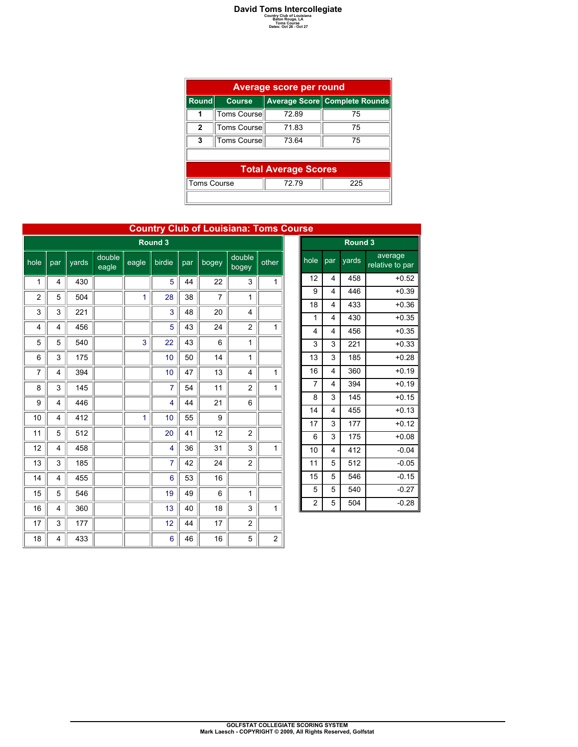## **David Toms Intercollegiate**<br> **Country Club of Louisiana**<br>
Baton Rouge, LA<br>
Dates: Oct 26 - Oct 27<br>
Dates: Oct 26 - Oct 27

|                    | Average score per round     |                               |     |  |  |  |  |  |  |
|--------------------|-----------------------------|-------------------------------|-----|--|--|--|--|--|--|
| <b>Round</b>       | <b>Course</b>               | Average Score Complete Rounds |     |  |  |  |  |  |  |
|                    | Toms Course                 | 7289                          | 75  |  |  |  |  |  |  |
| 2                  | Toms Course                 | 71.83                         | 75  |  |  |  |  |  |  |
| 3                  | Toms Course                 | 73 64                         | 75  |  |  |  |  |  |  |
|                    |                             |                               |     |  |  |  |  |  |  |
|                    | <b>Total Average Scores</b> |                               |     |  |  |  |  |  |  |
| <b>Toms Course</b> |                             | 72.79                         | 225 |  |  |  |  |  |  |
|                    |                             |                               |     |  |  |  |  |  |  |

|                |                |       |                 |              |                |     |                | <b>Country Club of Louisiana: Toms Course</b> |                |                |                         |                      |
|----------------|----------------|-------|-----------------|--------------|----------------|-----|----------------|-----------------------------------------------|----------------|----------------|-------------------------|----------------------|
|                |                |       |                 |              | Round 3        |     |                |                                               |                |                |                         | Ro                   |
| hole           | par            | yards | double<br>eagle | eagle        | birdie         | par | bogey          | double<br>bogey                               | other          | hole           | par                     | yar                  |
| 1              | 4              | 430   |                 |              | 5              | 44  | 22             | 3                                             | 1              | 12             | 4                       | 4                    |
| $\overline{2}$ | 5              | 504   |                 | $\mathbf{1}$ | 28             | 38  | $\overline{7}$ | 1                                             |                | 9              | 4                       | 44                   |
| 3              | 3              | 221   |                 |              | 3              | 48  | 20             | $\overline{4}$                                |                | 18             | $\overline{4}$          | 4.                   |
| 4              | $\overline{4}$ | 456   |                 |              | 5              | 43  | 24             | $\overline{c}$                                | $\mathbf{1}$   | 1<br>4         | 4<br>4                  | 4 <sup>′</sup><br>4  |
| 5              | 5              | 540   |                 | 3            | 22             | 43  | 6              | 1                                             |                | 3              | 3                       | $2^{\prime}$         |
| 6              | 3              | 175   |                 |              | 10             | 50  | 14             | $\mathbf{1}$                                  |                | 13             | 3                       | 18                   |
| 7              | $\overline{4}$ | 394   |                 |              | 10             | 47  | 13             | 4                                             | 1              | 16             | 4                       | 36                   |
| 8              | 3              | 145   |                 |              | $\overline{7}$ | 54  | 11             | $\overline{c}$                                | 1              | $\overline{7}$ | 4                       | 39                   |
| 9              | $\overline{4}$ | 446   |                 |              | $\overline{4}$ | 44  | 21             | 6                                             |                | 8              | 3                       | 14                   |
| 10             | $\overline{4}$ | 412   |                 | $\mathbf{1}$ | 10             | 55  | 9              |                                               |                | 14             | 4                       | 45                   |
| 11             | 5              | 512   |                 |              | 20             | 41  | 12             | $\overline{c}$                                |                | 17             | 3                       | $\ddot{\phantom{a}}$ |
| 12             | $\overline{4}$ | 458   |                 |              | 4              | 36  | 31             | 3                                             | 1              | 6              | 3                       | 1 <sup>7</sup>       |
|                |                |       |                 |              |                |     |                |                                               |                | 10             | $\overline{\mathbf{4}}$ | $\ddot{4}$           |
| 13             | 3              | 185   |                 |              | 7              | 42  | 24             | $\overline{2}$                                |                | 11             | 5                       | 5 <sup>′</sup>       |
| 14             | 4              | 455   |                 |              | 6              | 53  | 16             |                                               |                | 15             | 5                       | 54                   |
| 15             | 5              | 546   |                 |              | 19             | 49  | 6              | 1                                             |                | 5              | 5                       | 54                   |
| 16             | 4              | 360   |                 |              | 13             | 40  | 18             | 3                                             | 1              | $\overline{c}$ | 5                       | 5 <sub>0</sub>       |
| 17             | 3              | 177   |                 |              | 12             | 44  | 17             | $\overline{2}$                                |                |                |                         |                      |
| 18             | $\overline{4}$ | 433   |                 |              | 6              | 46  | 16             | 5                                             | $\overline{c}$ |                |                         |                      |

| 15e            |         |       |                            |  |  |  |  |  |  |  |
|----------------|---------|-------|----------------------------|--|--|--|--|--|--|--|
|                | Round 3 |       |                            |  |  |  |  |  |  |  |
| hole           | par     | yards | average<br>relative to par |  |  |  |  |  |  |  |
| 12             | 4       | 458   | $+0.52$                    |  |  |  |  |  |  |  |
| 9              | 4       | 446   | $+0.39$                    |  |  |  |  |  |  |  |
| 18             | 4       | 433   | $+0.36$                    |  |  |  |  |  |  |  |
| 1              | 4       | 430   | $+0.35$                    |  |  |  |  |  |  |  |
| 4              | 4       | 456   | $+0.35$                    |  |  |  |  |  |  |  |
| 3              | 3       | 221   | $+0.33$                    |  |  |  |  |  |  |  |
| 13             | 3       | 185   | $+0.28$                    |  |  |  |  |  |  |  |
| 16             | 4       | 360   | $+0.19$                    |  |  |  |  |  |  |  |
| 7              | 4       | 394   | $+0.19$                    |  |  |  |  |  |  |  |
| 8              | 3       | 145   | $+0.15$                    |  |  |  |  |  |  |  |
| 14             | 4       | 455   | $+0.13$                    |  |  |  |  |  |  |  |
| 17             | 3       | 177   | $+0.12$                    |  |  |  |  |  |  |  |
| 6              | 3       | 175   | $+0.08$                    |  |  |  |  |  |  |  |
| 10             | 4       | 412   | $-0.04$                    |  |  |  |  |  |  |  |
| 11             | 5       | 512   | $-0.05$                    |  |  |  |  |  |  |  |
| 15             | 5       | 546   | $-0.15$                    |  |  |  |  |  |  |  |
| 5              | 5       | 540   | $-0.27$                    |  |  |  |  |  |  |  |
| $\overline{c}$ | 5       | 504   | $-0.28$                    |  |  |  |  |  |  |  |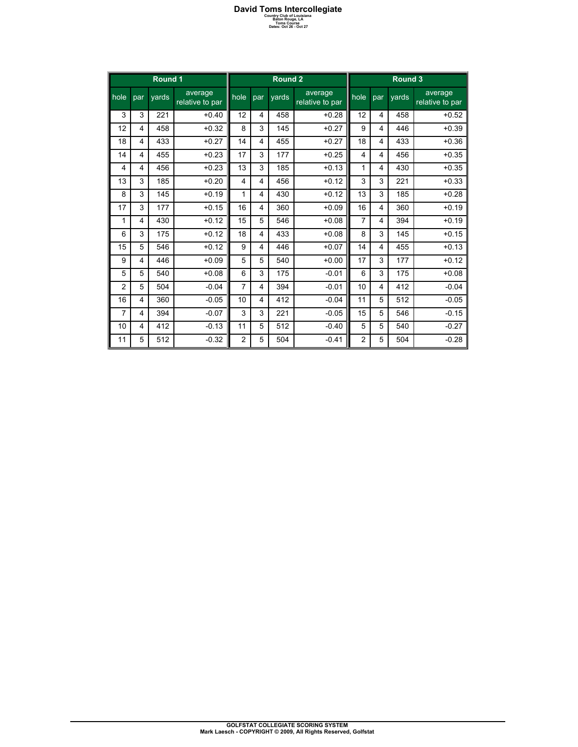## **David Toms Intercollegiate**<br> **Country Club of Louisiana**<br>
Baton Rouge, LA<br>
Dates: Oct 26 - Oct 27<br>
Dates: Oct 26 - Oct 27

|                        | TUNIS CUUTSU |  |  |
|------------------------|--------------|--|--|
| Dates: Oct 26 - Oct 27 |              |  |  |

| Round 1        |                |       |                            | Round 2        |     |                     |                            | Round 3        |                  |       |                            |
|----------------|----------------|-------|----------------------------|----------------|-----|---------------------|----------------------------|----------------|------------------|-------|----------------------------|
| lnole          | par            | vards | average<br>relative to par | hole           | par | $\overline{v}$ ards | average<br>relative to par | hole           | $\overline{par}$ | vards | average<br>relative to par |
| 3              | 3              | 221   | $+0.40$                    | 12             | 4   | 458                 | $+0.28$                    | 12             | 4                | 458   | $+0.52$                    |
| 12             | 4              | 458   | $+0.32$                    | 8              | 3   | 145                 | $+0.27$                    | 9              | 4                | 446   | $+0.39$                    |
| 18             | 4              | 433   | $+0.27$                    | 14             | 4   | 455                 | $+0.27$                    | 18             | 4                | 433   | $+0.36$                    |
| 14             | 4              | 455   | $+0.23$                    | 17             | 3   | 177                 | $+0.25$                    | $\overline{4}$ | 4                | 456   | $+0.35$                    |
| 4              | $\overline{4}$ | 456   | $+0.23$                    | 13             | 3   | 185                 | $+0.13$                    | 1              | 4                | 430   | $+0.35$                    |
| 13             | 3              | 185   | $+0.20$                    | 4              | 4   | 456                 | $+0.12$                    | 3              | 3                | 221   | $+0.33$                    |
| 8              | 3              | 145   | $+0.19$                    | 1              | 4   | 430                 | $+0.12$                    | 13             | 3                | 185   | $+0.28$                    |
| 17             | 3              | 177   | $+0.15$                    | 16             | 4   | 360                 | $+0.09$                    | 16             | 4                | 360   | $+0.19$                    |
| 1              | 4              | 430   | $+0.12$                    | 15             | 5   | 546                 | $+0.08$                    | $\overline{7}$ | 4                | 394   | $+0.19$                    |
| 6              | 3              | 175   | $+0.12$                    | 18             | 4   | 433                 | $+0.08$                    | 8              | 3                | 145   | $+0.15$                    |
| 15             | 5              | 546   | $+0.12$                    | 9              | 4   | 446                 | $+0.07$                    | 14             | 4                | 455   | $+0.13$                    |
| 9              | 4              | 446   | $+0.09$                    | 5              | 5   | 540                 | $+0.00$                    | 17             | 3                | 177   | $+0.12$                    |
| 5              | 5              | 540   | $+0.08$                    | 6              | 3   | 175                 | $-0.01$                    | 6              | 3                | 175   | $+0.08$                    |
| $\overline{2}$ | 5              | 504   | $-0.04$                    | $\overline{7}$ | 4   | 394                 | $-0.01$                    | 10             | 4                | 412   | $-0.04$                    |
| 16             | $\overline{4}$ | 360   | $-0.05$                    | 10             | 4   | 412                 | $-0.04$                    | 11             | 5                | 512   | $-0.05$                    |
| 7              | 4              | 394   | $-0.07$                    | 3              | 3   | 221                 | $-0.05$                    | 15             | 5                | 546   | $-0.15$                    |
| 10             | $\overline{4}$ | 412   | $-0.13$                    | 11             | 5   | 512                 | $-0.40$                    | 5              | 5                | 540   | $-0.27$                    |
| 11             | 5              | 512   | $-0.32$                    | $\overline{2}$ | 5   | 504                 | $-0.41$                    | $\overline{2}$ | 5                | 504   | $-0.28$                    |